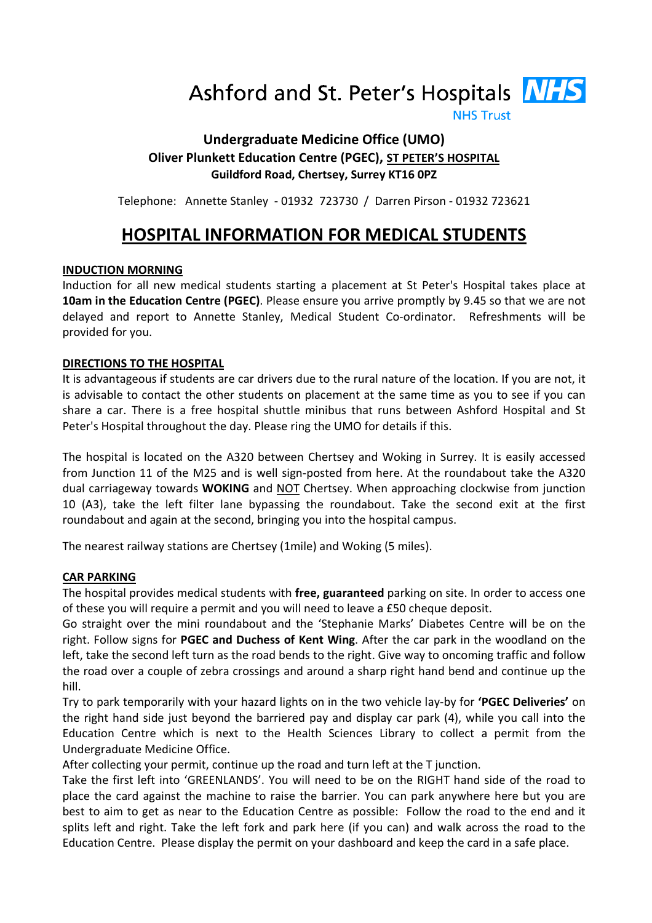Ashford and St. Peter's Hospitals **NHS** 

**NHS Trust** 

# Undergraduate Medicine Office (UMO) Oliver Plunkett Education Centre (PGEC), ST PETER'S HOSPITAL Guildford Road, Chertsey, Surrey KT16 0PZ

Telephone: Annette Stanley - 01932 723730 / Darren Pirson - 01932 723621

# HOSPITAL INFORMATION FOR MEDICAL STUDENTS

## INDUCTION MORNING

Induction for all new medical students starting a placement at St Peter's Hospital takes place at 10am in the Education Centre (PGEC). Please ensure you arrive promptly by 9.45 so that we are not delayed and report to Annette Stanley, Medical Student Co-ordinator. Refreshments will be provided for you.

### DIRECTIONS TO THE HOSPITAL

It is advantageous if students are car drivers due to the rural nature of the location. If you are not, it is advisable to contact the other students on placement at the same time as you to see if you can share a car. There is a free hospital shuttle minibus that runs between Ashford Hospital and St Peter's Hospital throughout the day. Please ring the UMO for details if this.

The hospital is located on the A320 between Chertsey and Woking in Surrey. It is easily accessed from Junction 11 of the M25 and is well sign-posted from here. At the roundabout take the A320 dual carriageway towards **WOKING** and NOT Chertsey. When approaching clockwise from junction 10 (A3), take the left filter lane bypassing the roundabout. Take the second exit at the first roundabout and again at the second, bringing you into the hospital campus.

The nearest railway stations are Chertsey (1mile) and Woking (5 miles).

#### CAR PARKING

The hospital provides medical students with free, guaranteed parking on site. In order to access one of these you will require a permit and you will need to leave a £50 cheque deposit.

Go straight over the mini roundabout and the 'Stephanie Marks' Diabetes Centre will be on the right. Follow signs for PGEC and Duchess of Kent Wing. After the car park in the woodland on the left, take the second left turn as the road bends to the right. Give way to oncoming traffic and follow the road over a couple of zebra crossings and around a sharp right hand bend and continue up the hill.

Try to park temporarily with your hazard lights on in the two vehicle lay-by for 'PGEC Deliveries' on the right hand side just beyond the barriered pay and display car park (4), while you call into the Education Centre which is next to the Health Sciences Library to collect a permit from the Undergraduate Medicine Office.

After collecting your permit, continue up the road and turn left at the T junction.

Take the first left into 'GREENLANDS'. You will need to be on the RIGHT hand side of the road to place the card against the machine to raise the barrier. You can park anywhere here but you are best to aim to get as near to the Education Centre as possible: Follow the road to the end and it splits left and right. Take the left fork and park here (if you can) and walk across the road to the Education Centre. Please display the permit on your dashboard and keep the card in a safe place.